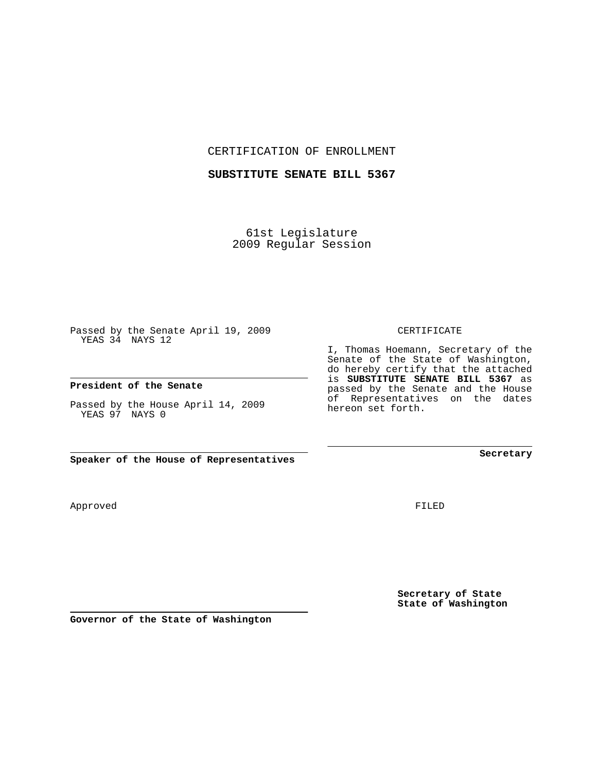CERTIFICATION OF ENROLLMENT

### **SUBSTITUTE SENATE BILL 5367**

61st Legislature 2009 Regular Session

Passed by the Senate April 19, 2009 YEAS 34 NAYS 12

#### **President of the Senate**

Passed by the House April 14, 2009 YEAS 97 NAYS 0

**Speaker of the House of Representatives**

Approved

FILED

**Secretary of State State of Washington**

**Governor of the State of Washington**

### CERTIFICATE

I, Thomas Hoemann, Secretary of the Senate of the State of Washington, do hereby certify that the attached is **SUBSTITUTE SENATE BILL 5367** as passed by the Senate and the House of Representatives on the dates hereon set forth.

**Secretary**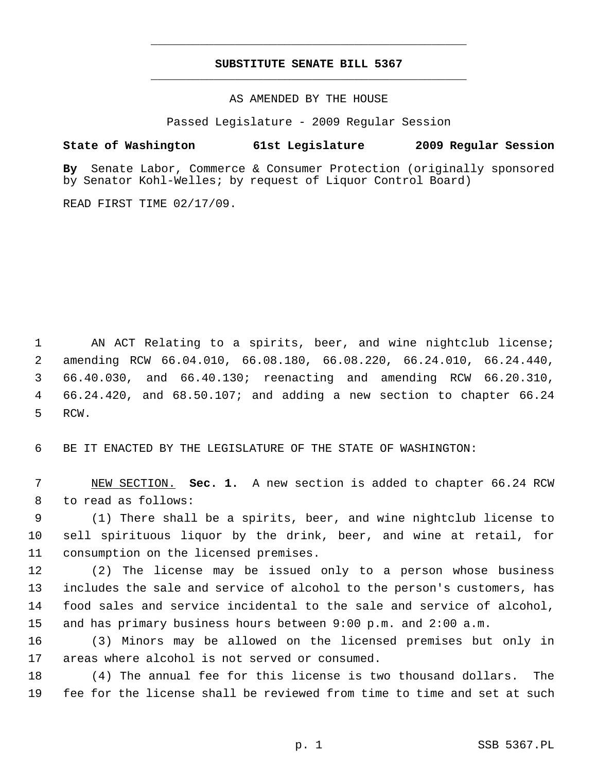# **SUBSTITUTE SENATE BILL 5367** \_\_\_\_\_\_\_\_\_\_\_\_\_\_\_\_\_\_\_\_\_\_\_\_\_\_\_\_\_\_\_\_\_\_\_\_\_\_\_\_\_\_\_\_\_

\_\_\_\_\_\_\_\_\_\_\_\_\_\_\_\_\_\_\_\_\_\_\_\_\_\_\_\_\_\_\_\_\_\_\_\_\_\_\_\_\_\_\_\_\_

AS AMENDED BY THE HOUSE

Passed Legislature - 2009 Regular Session

## **State of Washington 61st Legislature 2009 Regular Session**

**By** Senate Labor, Commerce & Consumer Protection (originally sponsored by Senator Kohl-Welles; by request of Liquor Control Board)

READ FIRST TIME 02/17/09.

 1 AN ACT Relating to a spirits, beer, and wine nightclub license; 2 amending RCW 66.04.010, 66.08.180, 66.08.220, 66.24.010, 66.24.440, 3 66.40.030, and 66.40.130; reenacting and amending RCW 66.20.310, 4 66.24.420, and 68.50.107; and adding a new section to chapter 66.24 5 RCW.

6 BE IT ENACTED BY THE LEGISLATURE OF THE STATE OF WASHINGTON:

 7 NEW SECTION. **Sec. 1.** A new section is added to chapter 66.24 RCW 8 to read as follows:

 9 (1) There shall be a spirits, beer, and wine nightclub license to 10 sell spirituous liquor by the drink, beer, and wine at retail, for 11 consumption on the licensed premises.

12 (2) The license may be issued only to a person whose business 13 includes the sale and service of alcohol to the person's customers, has 14 food sales and service incidental to the sale and service of alcohol, 15 and has primary business hours between 9:00 p.m. and 2:00 a.m.

16 (3) Minors may be allowed on the licensed premises but only in 17 areas where alcohol is not served or consumed.

18 (4) The annual fee for this license is two thousand dollars. The 19 fee for the license shall be reviewed from time to time and set at such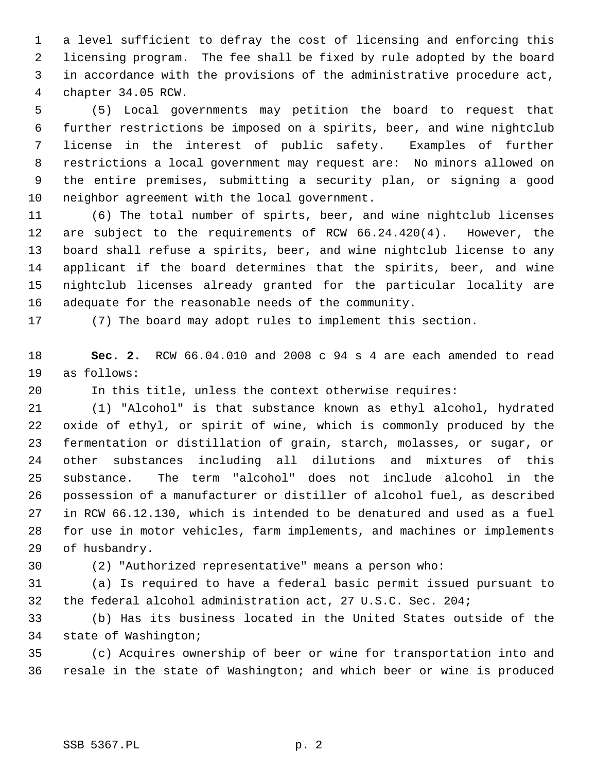1 a level sufficient to defray the cost of licensing and enforcing this 2 licensing program. The fee shall be fixed by rule adopted by the board 3 in accordance with the provisions of the administrative procedure act, 4 chapter 34.05 RCW.

 5 (5) Local governments may petition the board to request that 6 further restrictions be imposed on a spirits, beer, and wine nightclub 7 license in the interest of public safety. Examples of further 8 restrictions a local government may request are: No minors allowed on 9 the entire premises, submitting a security plan, or signing a good 10 neighbor agreement with the local government.

11 (6) The total number of spirts, beer, and wine nightclub licenses 12 are subject to the requirements of RCW 66.24.420(4). However, the 13 board shall refuse a spirits, beer, and wine nightclub license to any 14 applicant if the board determines that the spirits, beer, and wine 15 nightclub licenses already granted for the particular locality are 16 adequate for the reasonable needs of the community.

17 (7) The board may adopt rules to implement this section.

18 **Sec. 2.** RCW 66.04.010 and 2008 c 94 s 4 are each amended to read 19 as follows:

20 In this title, unless the context otherwise requires:

21 (1) "Alcohol" is that substance known as ethyl alcohol, hydrated 22 oxide of ethyl, or spirit of wine, which is commonly produced by the 23 fermentation or distillation of grain, starch, molasses, or sugar, or 24 other substances including all dilutions and mixtures of this 25 substance. The term "alcohol" does not include alcohol in the 26 possession of a manufacturer or distiller of alcohol fuel, as described 27 in RCW 66.12.130, which is intended to be denatured and used as a fuel 28 for use in motor vehicles, farm implements, and machines or implements 29 of husbandry.

30 (2) "Authorized representative" means a person who:

31 (a) Is required to have a federal basic permit issued pursuant to 32 the federal alcohol administration act, 27 U.S.C. Sec. 204;

33 (b) Has its business located in the United States outside of the 34 state of Washington;

35 (c) Acquires ownership of beer or wine for transportation into and 36 resale in the state of Washington; and which beer or wine is produced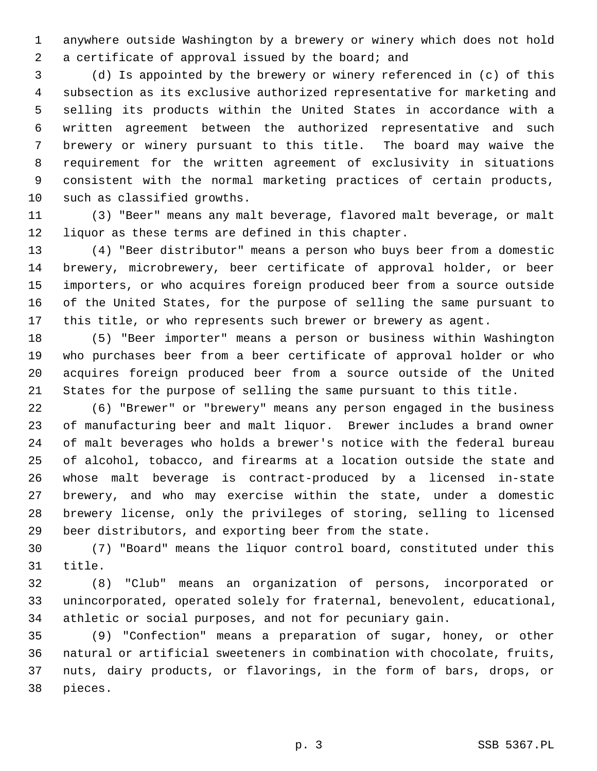1 anywhere outside Washington by a brewery or winery which does not hold 2 a certificate of approval issued by the board; and

 3 (d) Is appointed by the brewery or winery referenced in (c) of this 4 subsection as its exclusive authorized representative for marketing and 5 selling its products within the United States in accordance with a 6 written agreement between the authorized representative and such 7 brewery or winery pursuant to this title. The board may waive the 8 requirement for the written agreement of exclusivity in situations 9 consistent with the normal marketing practices of certain products, 10 such as classified growths.

11 (3) "Beer" means any malt beverage, flavored malt beverage, or malt 12 liquor as these terms are defined in this chapter.

13 (4) "Beer distributor" means a person who buys beer from a domestic 14 brewery, microbrewery, beer certificate of approval holder, or beer 15 importers, or who acquires foreign produced beer from a source outside 16 of the United States, for the purpose of selling the same pursuant to 17 this title, or who represents such brewer or brewery as agent.

18 (5) "Beer importer" means a person or business within Washington 19 who purchases beer from a beer certificate of approval holder or who 20 acquires foreign produced beer from a source outside of the United 21 States for the purpose of selling the same pursuant to this title.

22 (6) "Brewer" or "brewery" means any person engaged in the business 23 of manufacturing beer and malt liquor. Brewer includes a brand owner 24 of malt beverages who holds a brewer's notice with the federal bureau 25 of alcohol, tobacco, and firearms at a location outside the state and 26 whose malt beverage is contract-produced by a licensed in-state 27 brewery, and who may exercise within the state, under a domestic 28 brewery license, only the privileges of storing, selling to licensed 29 beer distributors, and exporting beer from the state.

30 (7) "Board" means the liquor control board, constituted under this 31 title.

32 (8) "Club" means an organization of persons, incorporated or 33 unincorporated, operated solely for fraternal, benevolent, educational, 34 athletic or social purposes, and not for pecuniary gain.

35 (9) "Confection" means a preparation of sugar, honey, or other 36 natural or artificial sweeteners in combination with chocolate, fruits, 37 nuts, dairy products, or flavorings, in the form of bars, drops, or 38 pieces.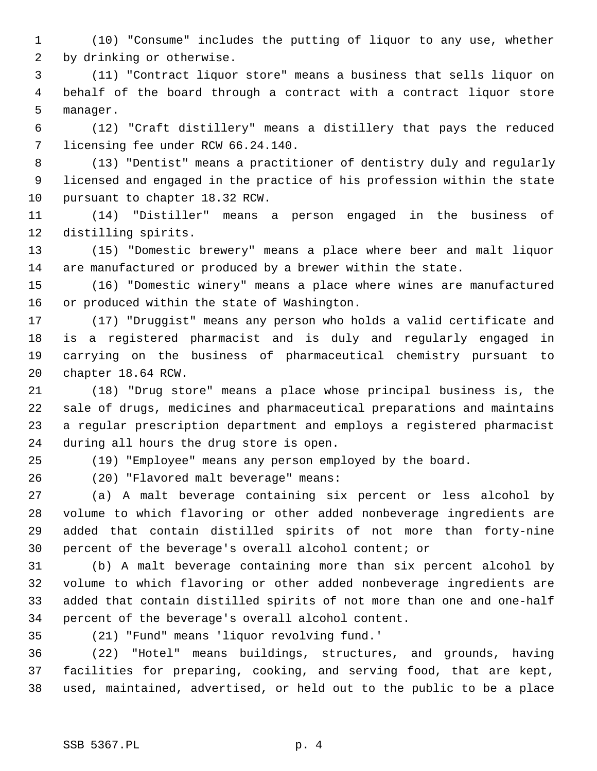1 (10) "Consume" includes the putting of liquor to any use, whether 2 by drinking or otherwise.

 3 (11) "Contract liquor store" means a business that sells liquor on 4 behalf of the board through a contract with a contract liquor store 5 manager.

 6 (12) "Craft distillery" means a distillery that pays the reduced 7 licensing fee under RCW 66.24.140.

 8 (13) "Dentist" means a practitioner of dentistry duly and regularly 9 licensed and engaged in the practice of his profession within the state 10 pursuant to chapter 18.32 RCW.

11 (14) "Distiller" means a person engaged in the business of 12 distilling spirits.

13 (15) "Domestic brewery" means a place where beer and malt liquor 14 are manufactured or produced by a brewer within the state.

15 (16) "Domestic winery" means a place where wines are manufactured 16 or produced within the state of Washington.

17 (17) "Druggist" means any person who holds a valid certificate and 18 is a registered pharmacist and is duly and regularly engaged in 19 carrying on the business of pharmaceutical chemistry pursuant to 20 chapter 18.64 RCW.

21 (18) "Drug store" means a place whose principal business is, the 22 sale of drugs, medicines and pharmaceutical preparations and maintains 23 a regular prescription department and employs a registered pharmacist 24 during all hours the drug store is open.

25 (19) "Employee" means any person employed by the board.

26 (20) "Flavored malt beverage" means:

27 (a) A malt beverage containing six percent or less alcohol by 28 volume to which flavoring or other added nonbeverage ingredients are 29 added that contain distilled spirits of not more than forty-nine 30 percent of the beverage's overall alcohol content; or

31 (b) A malt beverage containing more than six percent alcohol by 32 volume to which flavoring or other added nonbeverage ingredients are 33 added that contain distilled spirits of not more than one and one-half 34 percent of the beverage's overall alcohol content.

35 (21) "Fund" means 'liquor revolving fund.'

36 (22) "Hotel" means buildings, structures, and grounds, having 37 facilities for preparing, cooking, and serving food, that are kept, 38 used, maintained, advertised, or held out to the public to be a place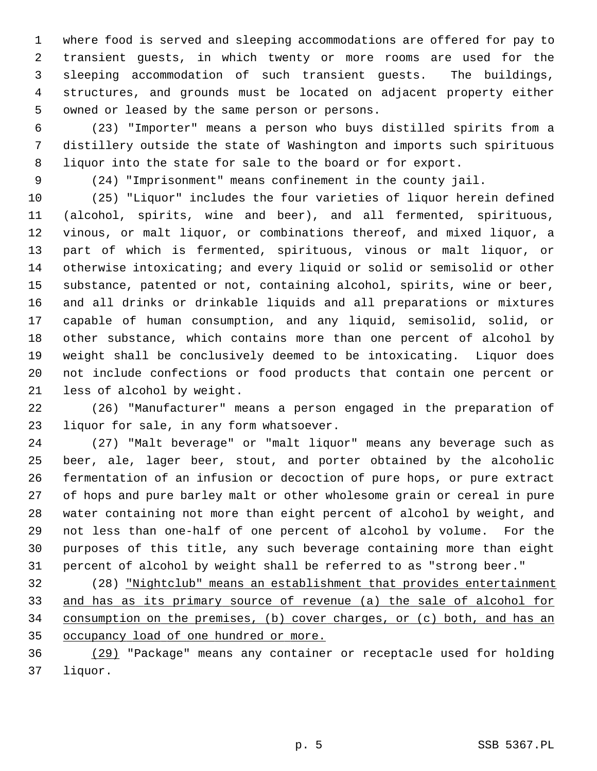1 where food is served and sleeping accommodations are offered for pay to 2 transient guests, in which twenty or more rooms are used for the 3 sleeping accommodation of such transient guests. The buildings, 4 structures, and grounds must be located on adjacent property either 5 owned or leased by the same person or persons.

 6 (23) "Importer" means a person who buys distilled spirits from a 7 distillery outside the state of Washington and imports such spirituous 8 liquor into the state for sale to the board or for export.

9 (24) "Imprisonment" means confinement in the county jail.

10 (25) "Liquor" includes the four varieties of liquor herein defined 11 (alcohol, spirits, wine and beer), and all fermented, spirituous, 12 vinous, or malt liquor, or combinations thereof, and mixed liquor, a 13 part of which is fermented, spirituous, vinous or malt liquor, or 14 otherwise intoxicating; and every liquid or solid or semisolid or other 15 substance, patented or not, containing alcohol, spirits, wine or beer, 16 and all drinks or drinkable liquids and all preparations or mixtures 17 capable of human consumption, and any liquid, semisolid, solid, or 18 other substance, which contains more than one percent of alcohol by 19 weight shall be conclusively deemed to be intoxicating. Liquor does 20 not include confections or food products that contain one percent or 21 less of alcohol by weight.

22 (26) "Manufacturer" means a person engaged in the preparation of 23 liquor for sale, in any form whatsoever.

24 (27) "Malt beverage" or "malt liquor" means any beverage such as 25 beer, ale, lager beer, stout, and porter obtained by the alcoholic 26 fermentation of an infusion or decoction of pure hops, or pure extract 27 of hops and pure barley malt or other wholesome grain or cereal in pure 28 water containing not more than eight percent of alcohol by weight, and 29 not less than one-half of one percent of alcohol by volume. For the 30 purposes of this title, any such beverage containing more than eight 31 percent of alcohol by weight shall be referred to as "strong beer."

32 (28) "Nightclub" means an establishment that provides entertainment and has as its primary source of revenue (a) the sale of alcohol for consumption on the premises, (b) cover charges, or (c) both, and has an occupancy load of one hundred or more.

36 (29) "Package" means any container or receptacle used for holding 37 liquor.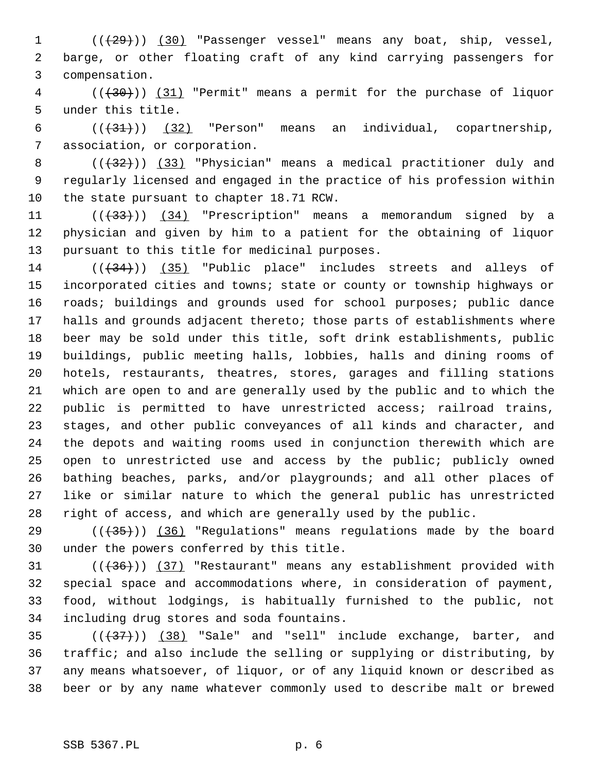1 (( $\left(\frac{29}{1}\right)$ ) (30) "Passenger vessel" means any boat, ship, vessel, 2 barge, or other floating craft of any kind carrying passengers for 3 compensation.

 4 (((30))) (31) "Permit" means a permit for the purchase of liquor 5 under this title.

6  $((+31))$   $(32)$  "Person" means an individual, copartnership, 7 association, or corporation.

8  $((+32))$  (33) "Physician" means a medical practitioner duly and 9 regularly licensed and engaged in the practice of his profession within 10 the state pursuant to chapter 18.71 RCW.

11 ((+33))) (34) "Prescription" means a memorandum signed by a 12 physician and given by him to a patient for the obtaining of liquor 13 pursuant to this title for medicinal purposes.

14  $((+34))$   $(35)$  "Public place" includes streets and alleys of 15 incorporated cities and towns; state or county or township highways or 16 roads; buildings and grounds used for school purposes; public dance 17 halls and grounds adjacent thereto; those parts of establishments where 18 beer may be sold under this title, soft drink establishments, public 19 buildings, public meeting halls, lobbies, halls and dining rooms of 20 hotels, restaurants, theatres, stores, garages and filling stations 21 which are open to and are generally used by the public and to which the 22 public is permitted to have unrestricted access; railroad trains, 23 stages, and other public conveyances of all kinds and character, and 24 the depots and waiting rooms used in conjunction therewith which are 25 open to unrestricted use and access by the public; publicly owned 26 bathing beaches, parks, and/or playgrounds; and all other places of 27 like or similar nature to which the general public has unrestricted 28 right of access, and which are generally used by the public.

29 ( $(\overline{35})$ ) (36) "Regulations" means regulations made by the board 30 under the powers conferred by this title.

31  $((+36))$   $(37)$  "Restaurant" means any establishment provided with 32 special space and accommodations where, in consideration of payment, 33 food, without lodgings, is habitually furnished to the public, not 34 including drug stores and soda fountains.

 $(35$   $((+37))$   $(38)$  "Sale" and "sell" include exchange, barter, and 36 traffic; and also include the selling or supplying or distributing, by 37 any means whatsoever, of liquor, or of any liquid known or described as 38 beer or by any name whatever commonly used to describe malt or brewed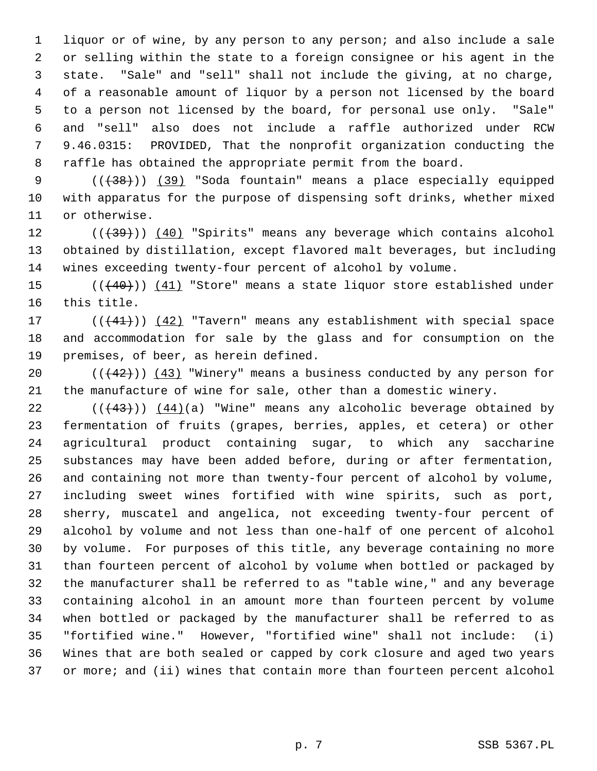1 liquor or of wine, by any person to any person; and also include a sale 2 or selling within the state to a foreign consignee or his agent in the 3 state. "Sale" and "sell" shall not include the giving, at no charge, 4 of a reasonable amount of liquor by a person not licensed by the board 5 to a person not licensed by the board, for personal use only. "Sale" 6 and "sell" also does not include a raffle authorized under RCW 7 9.46.0315: PROVIDED, That the nonprofit organization conducting the 8 raffle has obtained the appropriate permit from the board.

9  $((+38))$  (39) "Soda fountain" means a place especially equipped 10 with apparatus for the purpose of dispensing soft drinks, whether mixed 11 or otherwise.

 $12$  ( $(\overline{+39})$ ) (40) "Spirits" means any beverage which contains alcohol 13 obtained by distillation, except flavored malt beverages, but including 14 wines exceeding twenty-four percent of alcohol by volume.

15 (( $(40)$ )) (41) "Store" means a state liquor store established under 16 this title.

17 (((41))) (42) "Tavern" means any establishment with special space 18 and accommodation for sale by the glass and for consumption on the 19 premises, of beer, as herein defined.

20  $((+42))$   $(43)$  "Winery" means a business conducted by any person for 21 the manufacture of wine for sale, other than a domestic winery.

22  $((43))$   $(44)(a)$  "Wine" means any alcoholic beverage obtained by 23 fermentation of fruits (grapes, berries, apples, et cetera) or other 24 agricultural product containing sugar, to which any saccharine 25 substances may have been added before, during or after fermentation, 26 and containing not more than twenty-four percent of alcohol by volume, 27 including sweet wines fortified with wine spirits, such as port, 28 sherry, muscatel and angelica, not exceeding twenty-four percent of 29 alcohol by volume and not less than one-half of one percent of alcohol 30 by volume. For purposes of this title, any beverage containing no more 31 than fourteen percent of alcohol by volume when bottled or packaged by 32 the manufacturer shall be referred to as "table wine," and any beverage 33 containing alcohol in an amount more than fourteen percent by volume 34 when bottled or packaged by the manufacturer shall be referred to as 35 "fortified wine." However, "fortified wine" shall not include: (i) 36 Wines that are both sealed or capped by cork closure and aged two years 37 or more; and (ii) wines that contain more than fourteen percent alcohol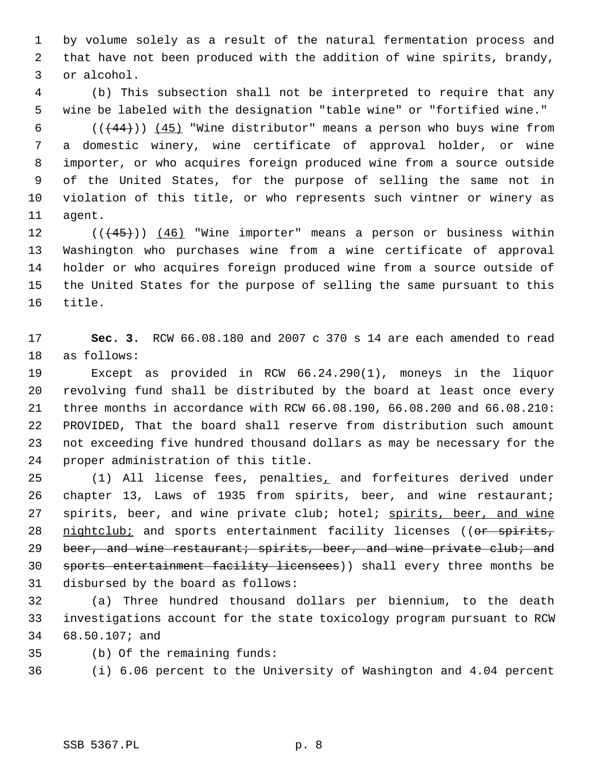1 by volume solely as a result of the natural fermentation process and 2 that have not been produced with the addition of wine spirits, brandy, 3 or alcohol.

 4 (b) This subsection shall not be interpreted to require that any 5 wine be labeled with the designation "table wine" or "fortified wine."

6  $((+44))$   $(45)$  "Wine distributor" means a person who buys wine from 7 a domestic winery, wine certificate of approval holder, or wine 8 importer, or who acquires foreign produced wine from a source outside 9 of the United States, for the purpose of selling the same not in 10 violation of this title, or who represents such vintner or winery as 11 agent.

12  $((45))$   $(46)$  "Wine importer" means a person or business within 13 Washington who purchases wine from a wine certificate of approval 14 holder or who acquires foreign produced wine from a source outside of 15 the United States for the purpose of selling the same pursuant to this 16 title.

17 **Sec. 3.** RCW 66.08.180 and 2007 c 370 s 14 are each amended to read 18 as follows:

19 Except as provided in RCW 66.24.290(1), moneys in the liquor 20 revolving fund shall be distributed by the board at least once every 21 three months in accordance with RCW 66.08.190, 66.08.200 and 66.08.210: 22 PROVIDED, That the board shall reserve from distribution such amount 23 not exceeding five hundred thousand dollars as may be necessary for the 24 proper administration of this title.

25 (1) All license fees, penalties, and forfeitures derived under 26 chapter 13, Laws of 1935 from spirits, beer, and wine restaurant; 27 spirits, beer, and wine private club; hotel; spirits, beer, and wine 28 nightclub; and sports entertainment facility licenses ((or spirits, 29 beer, and wine restaurant; spirits, beer, and wine private club; and 30 sports entertainment facility licensees)) shall every three months be 31 disbursed by the board as follows:

32 (a) Three hundred thousand dollars per biennium, to the death 33 investigations account for the state toxicology program pursuant to RCW 34 68.50.107; and

35 (b) Of the remaining funds:

36 (i) 6.06 percent to the University of Washington and 4.04 percent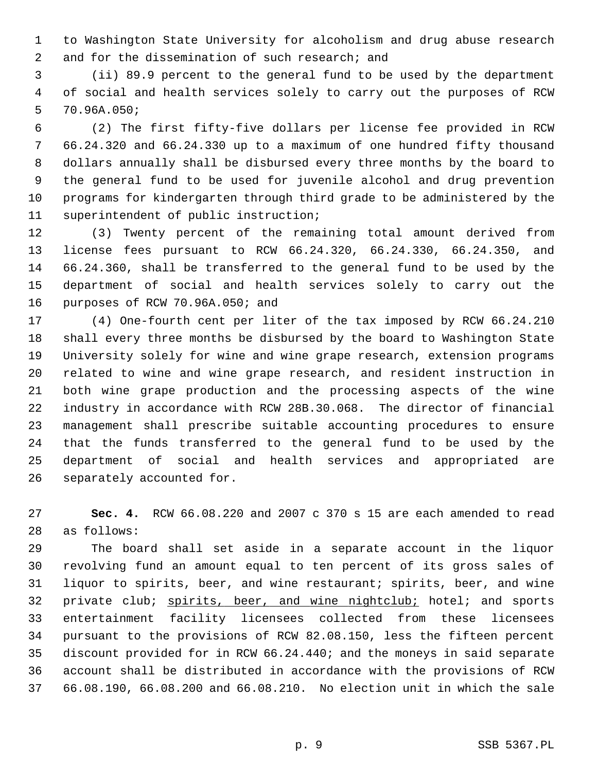1 to Washington State University for alcoholism and drug abuse research 2 and for the dissemination of such research; and

 3 (ii) 89.9 percent to the general fund to be used by the department 4 of social and health services solely to carry out the purposes of RCW 5 70.96A.050;

 6 (2) The first fifty-five dollars per license fee provided in RCW 7 66.24.320 and 66.24.330 up to a maximum of one hundred fifty thousand 8 dollars annually shall be disbursed every three months by the board to 9 the general fund to be used for juvenile alcohol and drug prevention 10 programs for kindergarten through third grade to be administered by the 11 superintendent of public instruction;

12 (3) Twenty percent of the remaining total amount derived from 13 license fees pursuant to RCW 66.24.320, 66.24.330, 66.24.350, and 14 66.24.360, shall be transferred to the general fund to be used by the 15 department of social and health services solely to carry out the 16 purposes of RCW 70.96A.050; and

17 (4) One-fourth cent per liter of the tax imposed by RCW 66.24.210 18 shall every three months be disbursed by the board to Washington State 19 University solely for wine and wine grape research, extension programs 20 related to wine and wine grape research, and resident instruction in 21 both wine grape production and the processing aspects of the wine 22 industry in accordance with RCW 28B.30.068. The director of financial 23 management shall prescribe suitable accounting procedures to ensure 24 that the funds transferred to the general fund to be used by the 25 department of social and health services and appropriated are 26 separately accounted for.

27 **Sec. 4.** RCW 66.08.220 and 2007 c 370 s 15 are each amended to read 28 as follows:

29 The board shall set aside in a separate account in the liquor 30 revolving fund an amount equal to ten percent of its gross sales of 31 liquor to spirits, beer, and wine restaurant; spirits, beer, and wine 32 private club; spirits, beer, and wine nightclub; hotel; and sports 33 entertainment facility licensees collected from these licensees 34 pursuant to the provisions of RCW 82.08.150, less the fifteen percent 35 discount provided for in RCW 66.24.440; and the moneys in said separate 36 account shall be distributed in accordance with the provisions of RCW 37 66.08.190, 66.08.200 and 66.08.210. No election unit in which the sale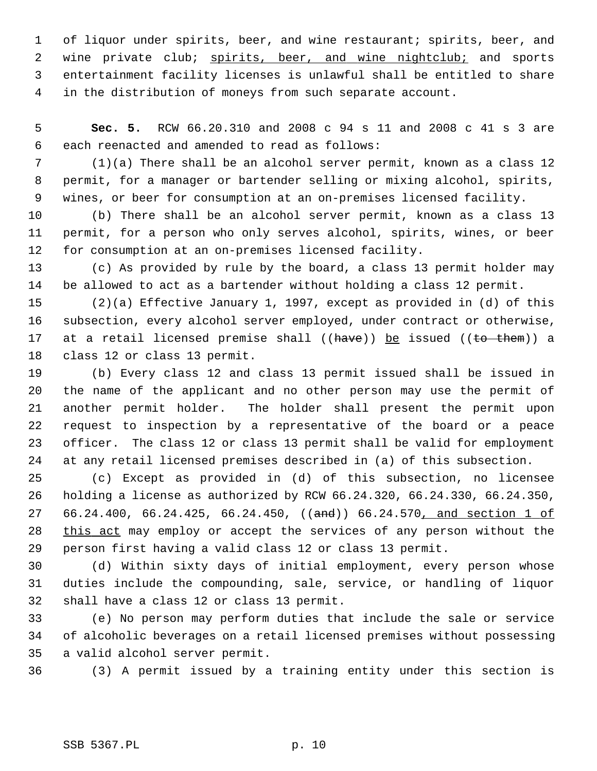1 of liquor under spirits, beer, and wine restaurant; spirits, beer, and 2 wine private club; spirits, beer, and wine nightclub; and sports 3 entertainment facility licenses is unlawful shall be entitled to share 4 in the distribution of moneys from such separate account.

 5 **Sec. 5.** RCW 66.20.310 and 2008 c 94 s 11 and 2008 c 41 s 3 are 6 each reenacted and amended to read as follows:

 7 (1)(a) There shall be an alcohol server permit, known as a class 12 8 permit, for a manager or bartender selling or mixing alcohol, spirits, 9 wines, or beer for consumption at an on-premises licensed facility.

10 (b) There shall be an alcohol server permit, known as a class 13 11 permit, for a person who only serves alcohol, spirits, wines, or beer 12 for consumption at an on-premises licensed facility.

13 (c) As provided by rule by the board, a class 13 permit holder may 14 be allowed to act as a bartender without holding a class 12 permit.

15 (2)(a) Effective January 1, 1997, except as provided in (d) of this 16 subsection, every alcohol server employed, under contract or otherwise, 17 at a retail licensed premise shall ( $(have)$ ) be issued ( $(to - them)$ ) a 18 class 12 or class 13 permit.

19 (b) Every class 12 and class 13 permit issued shall be issued in 20 the name of the applicant and no other person may use the permit of 21 another permit holder. The holder shall present the permit upon 22 request to inspection by a representative of the board or a peace 23 officer. The class 12 or class 13 permit shall be valid for employment 24 at any retail licensed premises described in (a) of this subsection.

25 (c) Except as provided in (d) of this subsection, no licensee 26 holding a license as authorized by RCW 66.24.320, 66.24.330, 66.24.350, 27 66.24.400, 66.24.425, 66.24.450, ((and)) 66.24.570, and section 1 of 28 this act may employ or accept the services of any person without the 29 person first having a valid class 12 or class 13 permit.

30 (d) Within sixty days of initial employment, every person whose 31 duties include the compounding, sale, service, or handling of liquor 32 shall have a class 12 or class 13 permit.

33 (e) No person may perform duties that include the sale or service 34 of alcoholic beverages on a retail licensed premises without possessing 35 a valid alcohol server permit.

36 (3) A permit issued by a training entity under this section is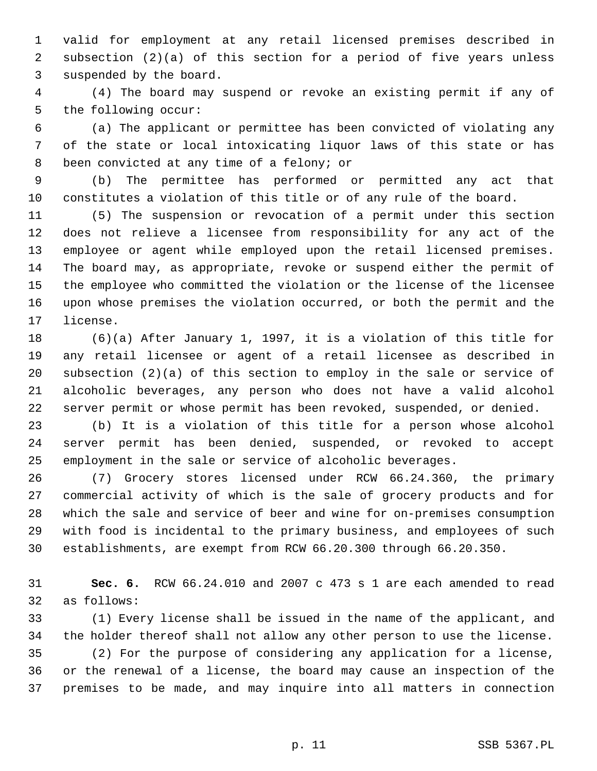1 valid for employment at any retail licensed premises described in 2 subsection (2)(a) of this section for a period of five years unless 3 suspended by the board.

 4 (4) The board may suspend or revoke an existing permit if any of 5 the following occur:

 6 (a) The applicant or permittee has been convicted of violating any 7 of the state or local intoxicating liquor laws of this state or has 8 been convicted at any time of a felony; or

 9 (b) The permittee has performed or permitted any act that 10 constitutes a violation of this title or of any rule of the board.

11 (5) The suspension or revocation of a permit under this section 12 does not relieve a licensee from responsibility for any act of the 13 employee or agent while employed upon the retail licensed premises. 14 The board may, as appropriate, revoke or suspend either the permit of 15 the employee who committed the violation or the license of the licensee 16 upon whose premises the violation occurred, or both the permit and the 17 license.

18 (6)(a) After January 1, 1997, it is a violation of this title for 19 any retail licensee or agent of a retail licensee as described in 20 subsection (2)(a) of this section to employ in the sale or service of 21 alcoholic beverages, any person who does not have a valid alcohol 22 server permit or whose permit has been revoked, suspended, or denied.

23 (b) It is a violation of this title for a person whose alcohol 24 server permit has been denied, suspended, or revoked to accept 25 employment in the sale or service of alcoholic beverages.

26 (7) Grocery stores licensed under RCW 66.24.360, the primary 27 commercial activity of which is the sale of grocery products and for 28 which the sale and service of beer and wine for on-premises consumption 29 with food is incidental to the primary business, and employees of such 30 establishments, are exempt from RCW 66.20.300 through 66.20.350.

31 **Sec. 6.** RCW 66.24.010 and 2007 c 473 s 1 are each amended to read 32 as follows:

33 (1) Every license shall be issued in the name of the applicant, and 34 the holder thereof shall not allow any other person to use the license.

35 (2) For the purpose of considering any application for a license, 36 or the renewal of a license, the board may cause an inspection of the 37 premises to be made, and may inquire into all matters in connection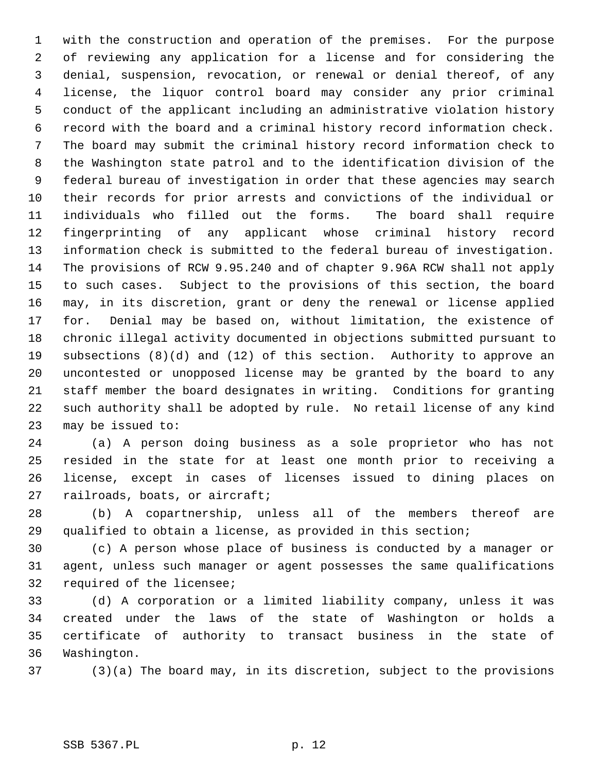1 with the construction and operation of the premises. For the purpose 2 of reviewing any application for a license and for considering the 3 denial, suspension, revocation, or renewal or denial thereof, of any 4 license, the liquor control board may consider any prior criminal 5 conduct of the applicant including an administrative violation history 6 record with the board and a criminal history record information check. 7 The board may submit the criminal history record information check to 8 the Washington state patrol and to the identification division of the 9 federal bureau of investigation in order that these agencies may search 10 their records for prior arrests and convictions of the individual or 11 individuals who filled out the forms. The board shall require 12 fingerprinting of any applicant whose criminal history record 13 information check is submitted to the federal bureau of investigation. 14 The provisions of RCW 9.95.240 and of chapter 9.96A RCW shall not apply 15 to such cases. Subject to the provisions of this section, the board 16 may, in its discretion, grant or deny the renewal or license applied 17 for. Denial may be based on, without limitation, the existence of 18 chronic illegal activity documented in objections submitted pursuant to 19 subsections (8)(d) and (12) of this section. Authority to approve an 20 uncontested or unopposed license may be granted by the board to any 21 staff member the board designates in writing. Conditions for granting 22 such authority shall be adopted by rule. No retail license of any kind 23 may be issued to:

24 (a) A person doing business as a sole proprietor who has not 25 resided in the state for at least one month prior to receiving a 26 license, except in cases of licenses issued to dining places on 27 railroads, boats, or aircraft;

28 (b) A copartnership, unless all of the members thereof are 29 qualified to obtain a license, as provided in this section;

30 (c) A person whose place of business is conducted by a manager or 31 agent, unless such manager or agent possesses the same qualifications 32 required of the licensee;

33 (d) A corporation or a limited liability company, unless it was 34 created under the laws of the state of Washington or holds a 35 certificate of authority to transact business in the state of 36 Washington.

37 (3)(a) The board may, in its discretion, subject to the provisions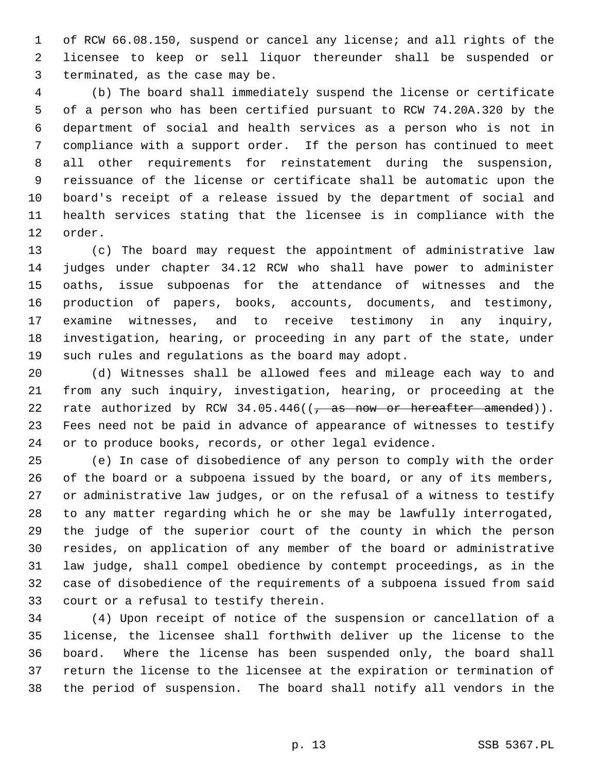1 of RCW 66.08.150, suspend or cancel any license; and all rights of the 2 licensee to keep or sell liquor thereunder shall be suspended or 3 terminated, as the case may be.

 4 (b) The board shall immediately suspend the license or certificate 5 of a person who has been certified pursuant to RCW 74.20A.320 by the 6 department of social and health services as a person who is not in 7 compliance with a support order. If the person has continued to meet 8 all other requirements for reinstatement during the suspension, 9 reissuance of the license or certificate shall be automatic upon the 10 board's receipt of a release issued by the department of social and 11 health services stating that the licensee is in compliance with the 12 order.

13 (c) The board may request the appointment of administrative law 14 judges under chapter 34.12 RCW who shall have power to administer 15 oaths, issue subpoenas for the attendance of witnesses and the 16 production of papers, books, accounts, documents, and testimony, 17 examine witnesses, and to receive testimony in any inquiry, 18 investigation, hearing, or proceeding in any part of the state, under 19 such rules and regulations as the board may adopt.

20 (d) Witnesses shall be allowed fees and mileage each way to and 21 from any such inquiry, investigation, hearing, or proceeding at the 22 rate authorized by RCW  $34.05.446$  ( $\frac{25}{10.05}$  as now or hereafter amended)). 23 Fees need not be paid in advance of appearance of witnesses to testify 24 or to produce books, records, or other legal evidence.

25 (e) In case of disobedience of any person to comply with the order 26 of the board or a subpoena issued by the board, or any of its members, 27 or administrative law judges, or on the refusal of a witness to testify 28 to any matter regarding which he or she may be lawfully interrogated, 29 the judge of the superior court of the county in which the person 30 resides, on application of any member of the board or administrative 31 law judge, shall compel obedience by contempt proceedings, as in the 32 case of disobedience of the requirements of a subpoena issued from said 33 court or a refusal to testify therein.

34 (4) Upon receipt of notice of the suspension or cancellation of a 35 license, the licensee shall forthwith deliver up the license to the 36 board. Where the license has been suspended only, the board shall 37 return the license to the licensee at the expiration or termination of 38 the period of suspension. The board shall notify all vendors in the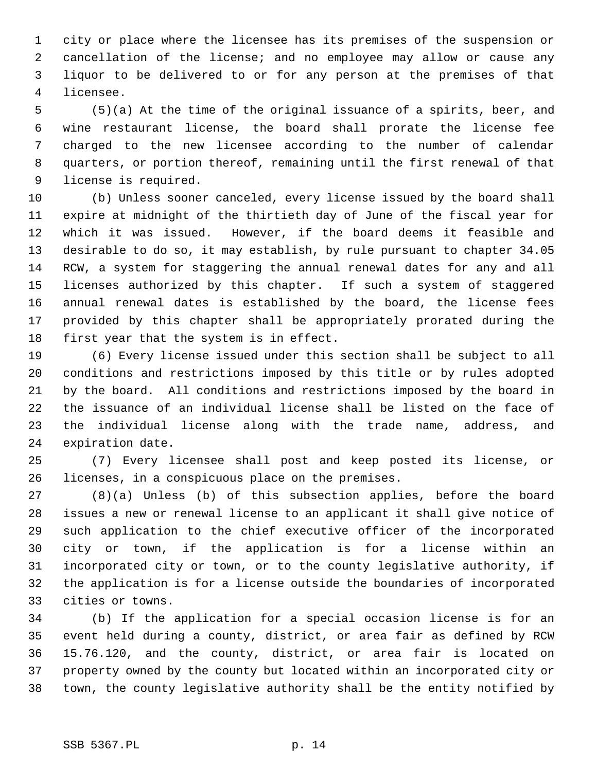1 city or place where the licensee has its premises of the suspension or 2 cancellation of the license; and no employee may allow or cause any 3 liquor to be delivered to or for any person at the premises of that 4 licensee.

 5 (5)(a) At the time of the original issuance of a spirits, beer, and 6 wine restaurant license, the board shall prorate the license fee 7 charged to the new licensee according to the number of calendar 8 quarters, or portion thereof, remaining until the first renewal of that 9 license is required.

10 (b) Unless sooner canceled, every license issued by the board shall 11 expire at midnight of the thirtieth day of June of the fiscal year for 12 which it was issued. However, if the board deems it feasible and 13 desirable to do so, it may establish, by rule pursuant to chapter 34.05 14 RCW, a system for staggering the annual renewal dates for any and all 15 licenses authorized by this chapter. If such a system of staggered 16 annual renewal dates is established by the board, the license fees 17 provided by this chapter shall be appropriately prorated during the 18 first year that the system is in effect.

19 (6) Every license issued under this section shall be subject to all 20 conditions and restrictions imposed by this title or by rules adopted 21 by the board. All conditions and restrictions imposed by the board in 22 the issuance of an individual license shall be listed on the face of 23 the individual license along with the trade name, address, and 24 expiration date.

25 (7) Every licensee shall post and keep posted its license, or 26 licenses, in a conspicuous place on the premises.

27 (8)(a) Unless (b) of this subsection applies, before the board 28 issues a new or renewal license to an applicant it shall give notice of 29 such application to the chief executive officer of the incorporated 30 city or town, if the application is for a license within an 31 incorporated city or town, or to the county legislative authority, if 32 the application is for a license outside the boundaries of incorporated 33 cities or towns.

34 (b) If the application for a special occasion license is for an 35 event held during a county, district, or area fair as defined by RCW 36 15.76.120, and the county, district, or area fair is located on 37 property owned by the county but located within an incorporated city or 38 town, the county legislative authority shall be the entity notified by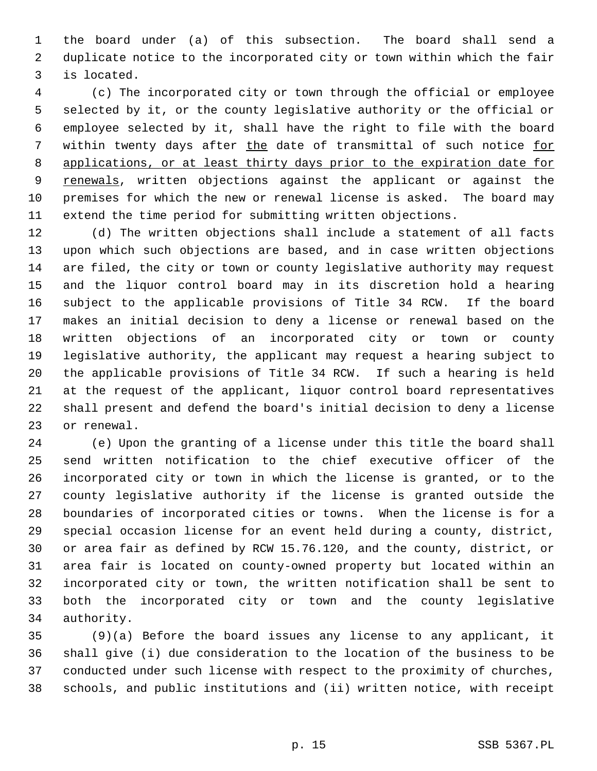1 the board under (a) of this subsection. The board shall send a 2 duplicate notice to the incorporated city or town within which the fair 3 is located.

 4 (c) The incorporated city or town through the official or employee 5 selected by it, or the county legislative authority or the official or 6 employee selected by it, shall have the right to file with the board 7 within twenty days after the date of transmittal of such notice for 8 applications, or at least thirty days prior to the expiration date for 9 renewals, written objections against the applicant or against the 10 premises for which the new or renewal license is asked. The board may 11 extend the time period for submitting written objections.

12 (d) The written objections shall include a statement of all facts 13 upon which such objections are based, and in case written objections 14 are filed, the city or town or county legislative authority may request 15 and the liquor control board may in its discretion hold a hearing 16 subject to the applicable provisions of Title 34 RCW. If the board 17 makes an initial decision to deny a license or renewal based on the 18 written objections of an incorporated city or town or county 19 legislative authority, the applicant may request a hearing subject to 20 the applicable provisions of Title 34 RCW. If such a hearing is held 21 at the request of the applicant, liquor control board representatives 22 shall present and defend the board's initial decision to deny a license 23 or renewal.

24 (e) Upon the granting of a license under this title the board shall 25 send written notification to the chief executive officer of the 26 incorporated city or town in which the license is granted, or to the 27 county legislative authority if the license is granted outside the 28 boundaries of incorporated cities or towns. When the license is for a 29 special occasion license for an event held during a county, district, 30 or area fair as defined by RCW 15.76.120, and the county, district, or 31 area fair is located on county-owned property but located within an 32 incorporated city or town, the written notification shall be sent to 33 both the incorporated city or town and the county legislative 34 authority.

35 (9)(a) Before the board issues any license to any applicant, it 36 shall give (i) due consideration to the location of the business to be 37 conducted under such license with respect to the proximity of churches, 38 schools, and public institutions and (ii) written notice, with receipt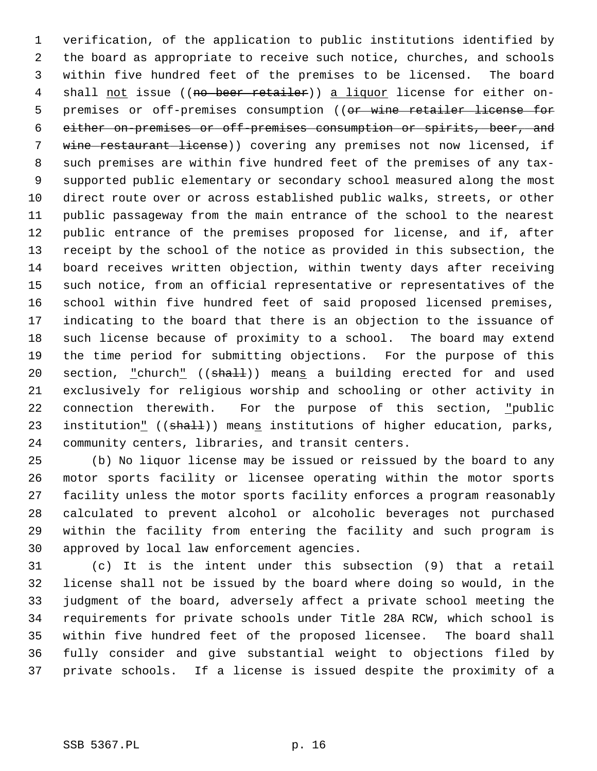1 verification, of the application to public institutions identified by 2 the board as appropriate to receive such notice, churches, and schools 3 within five hundred feet of the premises to be licensed. The board 4 shall not issue ((no beer retailer)) a liquor license for either on-5 premises or off-premises consumption ((or wine retailer license for 6 either on-premises or off-premises consumption or spirits, beer, and 7 wine restaurant license)) covering any premises not now licensed, if 8 such premises are within five hundred feet of the premises of any tax- 9 supported public elementary or secondary school measured along the most 10 direct route over or across established public walks, streets, or other 11 public passageway from the main entrance of the school to the nearest 12 public entrance of the premises proposed for license, and if, after 13 receipt by the school of the notice as provided in this subsection, the 14 board receives written objection, within twenty days after receiving 15 such notice, from an official representative or representatives of the 16 school within five hundred feet of said proposed licensed premises, 17 indicating to the board that there is an objection to the issuance of 18 such license because of proximity to a school. The board may extend 19 the time period for submitting objections. For the purpose of this 20 section, "church" ((shall)) means a building erected for and used 21 exclusively for religious worship and schooling or other activity in 22 connection therewith. For the purpose of this section, "public 23 institution" ((shall)) means institutions of higher education, parks, 24 community centers, libraries, and transit centers.

25 (b) No liquor license may be issued or reissued by the board to any 26 motor sports facility or licensee operating within the motor sports 27 facility unless the motor sports facility enforces a program reasonably 28 calculated to prevent alcohol or alcoholic beverages not purchased 29 within the facility from entering the facility and such program is 30 approved by local law enforcement agencies.

31 (c) It is the intent under this subsection (9) that a retail 32 license shall not be issued by the board where doing so would, in the 33 judgment of the board, adversely affect a private school meeting the 34 requirements for private schools under Title 28A RCW, which school is 35 within five hundred feet of the proposed licensee. The board shall 36 fully consider and give substantial weight to objections filed by 37 private schools. If a license is issued despite the proximity of a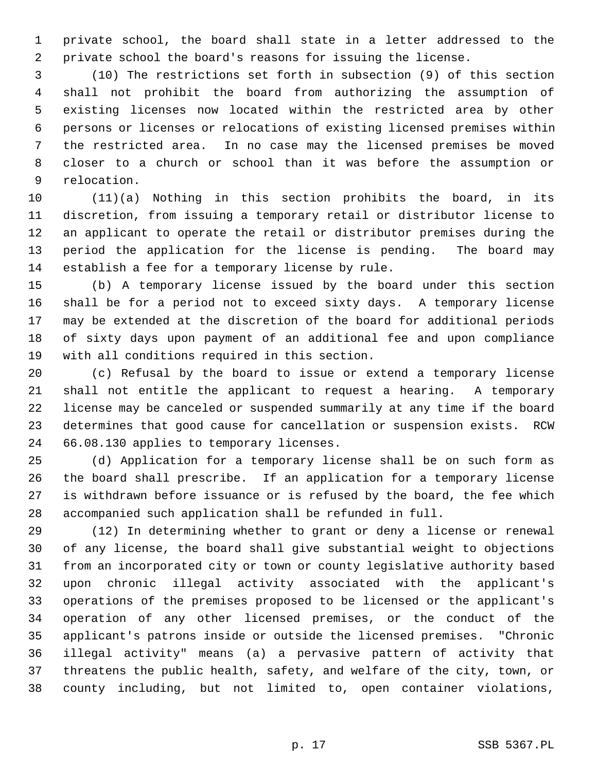1 private school, the board shall state in a letter addressed to the 2 private school the board's reasons for issuing the license.

 3 (10) The restrictions set forth in subsection (9) of this section 4 shall not prohibit the board from authorizing the assumption of 5 existing licenses now located within the restricted area by other 6 persons or licenses or relocations of existing licensed premises within 7 the restricted area. In no case may the licensed premises be moved 8 closer to a church or school than it was before the assumption or 9 relocation.

10 (11)(a) Nothing in this section prohibits the board, in its 11 discretion, from issuing a temporary retail or distributor license to 12 an applicant to operate the retail or distributor premises during the 13 period the application for the license is pending. The board may 14 establish a fee for a temporary license by rule.

15 (b) A temporary license issued by the board under this section 16 shall be for a period not to exceed sixty days. A temporary license 17 may be extended at the discretion of the board for additional periods 18 of sixty days upon payment of an additional fee and upon compliance 19 with all conditions required in this section.

20 (c) Refusal by the board to issue or extend a temporary license 21 shall not entitle the applicant to request a hearing. A temporary 22 license may be canceled or suspended summarily at any time if the board 23 determines that good cause for cancellation or suspension exists. RCW 24 66.08.130 applies to temporary licenses.

25 (d) Application for a temporary license shall be on such form as 26 the board shall prescribe. If an application for a temporary license 27 is withdrawn before issuance or is refused by the board, the fee which 28 accompanied such application shall be refunded in full.

29 (12) In determining whether to grant or deny a license or renewal 30 of any license, the board shall give substantial weight to objections 31 from an incorporated city or town or county legislative authority based 32 upon chronic illegal activity associated with the applicant's 33 operations of the premises proposed to be licensed or the applicant's 34 operation of any other licensed premises, or the conduct of the 35 applicant's patrons inside or outside the licensed premises. "Chronic 36 illegal activity" means (a) a pervasive pattern of activity that 37 threatens the public health, safety, and welfare of the city, town, or 38 county including, but not limited to, open container violations,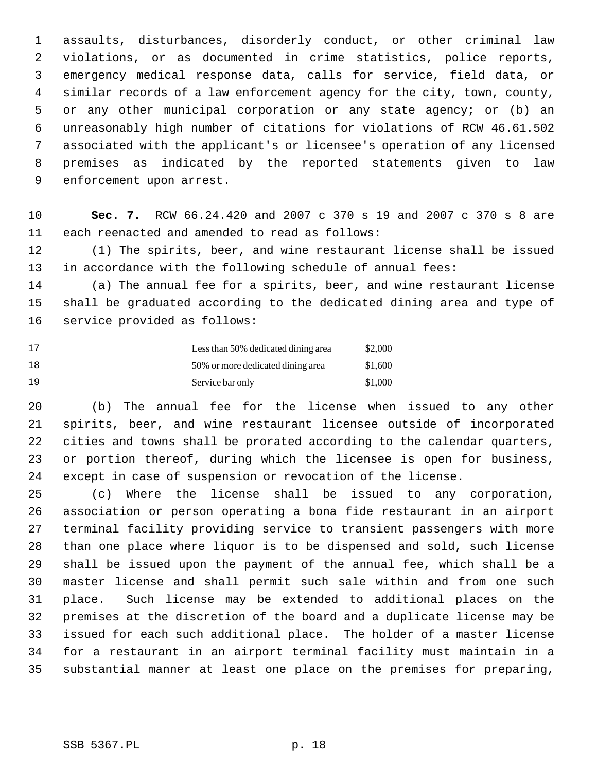1 assaults, disturbances, disorderly conduct, or other criminal law 2 violations, or as documented in crime statistics, police reports, 3 emergency medical response data, calls for service, field data, or 4 similar records of a law enforcement agency for the city, town, county, 5 or any other municipal corporation or any state agency; or (b) an 6 unreasonably high number of citations for violations of RCW 46.61.502 7 associated with the applicant's or licensee's operation of any licensed 8 premises as indicated by the reported statements given to law 9 enforcement upon arrest.

10 **Sec. 7.** RCW 66.24.420 and 2007 c 370 s 19 and 2007 c 370 s 8 are 11 each reenacted and amended to read as follows:

12 (1) The spirits, beer, and wine restaurant license shall be issued 13 in accordance with the following schedule of annual fees:

14 (a) The annual fee for a spirits, beer, and wine restaurant license 15 shall be graduated according to the dedicated dining area and type of 16 service provided as follows:

| 17  | Less than 50% dedicated dining area | \$2,000 |
|-----|-------------------------------------|---------|
| 1 R | 50% or more dedicated dining area   | \$1,600 |
| 19  | Service bar only                    | \$1,000 |

20 (b) The annual fee for the license when issued to any other 21 spirits, beer, and wine restaurant licensee outside of incorporated 22 cities and towns shall be prorated according to the calendar quarters, 23 or portion thereof, during which the licensee is open for business, 24 except in case of suspension or revocation of the license.

25 (c) Where the license shall be issued to any corporation, 26 association or person operating a bona fide restaurant in an airport 27 terminal facility providing service to transient passengers with more 28 than one place where liquor is to be dispensed and sold, such license 29 shall be issued upon the payment of the annual fee, which shall be a 30 master license and shall permit such sale within and from one such 31 place. Such license may be extended to additional places on the 32 premises at the discretion of the board and a duplicate license may be 33 issued for each such additional place. The holder of a master license 34 for a restaurant in an airport terminal facility must maintain in a 35 substantial manner at least one place on the premises for preparing,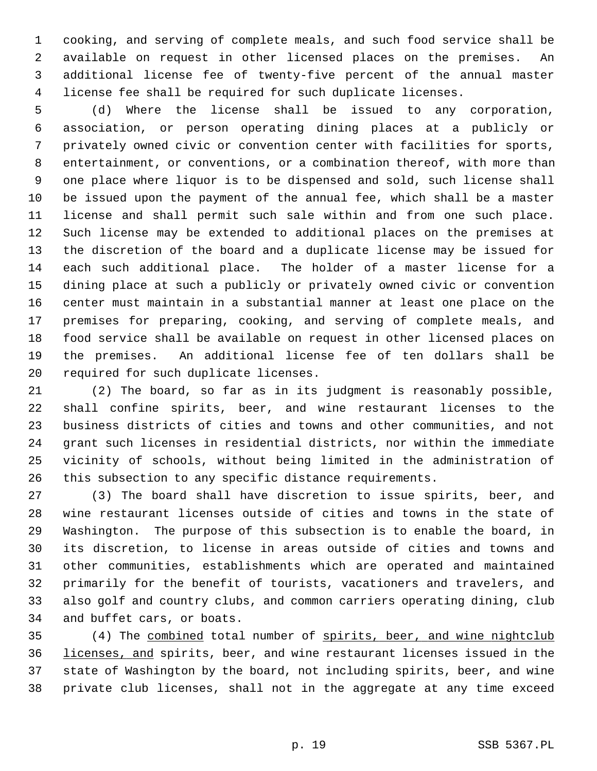1 cooking, and serving of complete meals, and such food service shall be 2 available on request in other licensed places on the premises. An 3 additional license fee of twenty-five percent of the annual master 4 license fee shall be required for such duplicate licenses.

 5 (d) Where the license shall be issued to any corporation, 6 association, or person operating dining places at a publicly or 7 privately owned civic or convention center with facilities for sports, 8 entertainment, or conventions, or a combination thereof, with more than 9 one place where liquor is to be dispensed and sold, such license shall 10 be issued upon the payment of the annual fee, which shall be a master 11 license and shall permit such sale within and from one such place. 12 Such license may be extended to additional places on the premises at 13 the discretion of the board and a duplicate license may be issued for 14 each such additional place. The holder of a master license for a 15 dining place at such a publicly or privately owned civic or convention 16 center must maintain in a substantial manner at least one place on the 17 premises for preparing, cooking, and serving of complete meals, and 18 food service shall be available on request in other licensed places on 19 the premises. An additional license fee of ten dollars shall be 20 required for such duplicate licenses.

21 (2) The board, so far as in its judgment is reasonably possible, 22 shall confine spirits, beer, and wine restaurant licenses to the 23 business districts of cities and towns and other communities, and not 24 grant such licenses in residential districts, nor within the immediate 25 vicinity of schools, without being limited in the administration of 26 this subsection to any specific distance requirements.

27 (3) The board shall have discretion to issue spirits, beer, and 28 wine restaurant licenses outside of cities and towns in the state of 29 Washington. The purpose of this subsection is to enable the board, in 30 its discretion, to license in areas outside of cities and towns and 31 other communities, establishments which are operated and maintained 32 primarily for the benefit of tourists, vacationers and travelers, and 33 also golf and country clubs, and common carriers operating dining, club 34 and buffet cars, or boats.

35 (4) The combined total number of spirits, beer, and wine nightclub 36 licenses, and spirits, beer, and wine restaurant licenses issued in the 37 state of Washington by the board, not including spirits, beer, and wine 38 private club licenses, shall not in the aggregate at any time exceed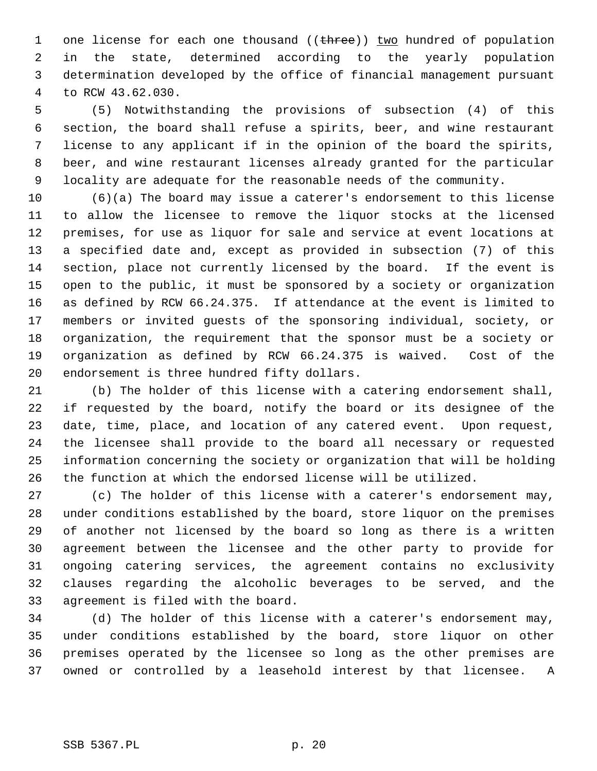1 one license for each one thousand ((three)) two hundred of population 2 in the state, determined according to the yearly population 3 determination developed by the office of financial management pursuant 4 to RCW 43.62.030.

 5 (5) Notwithstanding the provisions of subsection (4) of this 6 section, the board shall refuse a spirits, beer, and wine restaurant 7 license to any applicant if in the opinion of the board the spirits, 8 beer, and wine restaurant licenses already granted for the particular 9 locality are adequate for the reasonable needs of the community.

10 (6)(a) The board may issue a caterer's endorsement to this license 11 to allow the licensee to remove the liquor stocks at the licensed 12 premises, for use as liquor for sale and service at event locations at 13 a specified date and, except as provided in subsection (7) of this 14 section, place not currently licensed by the board. If the event is 15 open to the public, it must be sponsored by a society or organization 16 as defined by RCW 66.24.375. If attendance at the event is limited to 17 members or invited guests of the sponsoring individual, society, or 18 organization, the requirement that the sponsor must be a society or 19 organization as defined by RCW 66.24.375 is waived. Cost of the 20 endorsement is three hundred fifty dollars.

21 (b) The holder of this license with a catering endorsement shall, 22 if requested by the board, notify the board or its designee of the 23 date, time, place, and location of any catered event. Upon request, 24 the licensee shall provide to the board all necessary or requested 25 information concerning the society or organization that will be holding 26 the function at which the endorsed license will be utilized.

27 (c) The holder of this license with a caterer's endorsement may, 28 under conditions established by the board, store liquor on the premises 29 of another not licensed by the board so long as there is a written 30 agreement between the licensee and the other party to provide for 31 ongoing catering services, the agreement contains no exclusivity 32 clauses regarding the alcoholic beverages to be served, and the 33 agreement is filed with the board.

34 (d) The holder of this license with a caterer's endorsement may, 35 under conditions established by the board, store liquor on other 36 premises operated by the licensee so long as the other premises are 37 owned or controlled by a leasehold interest by that licensee. A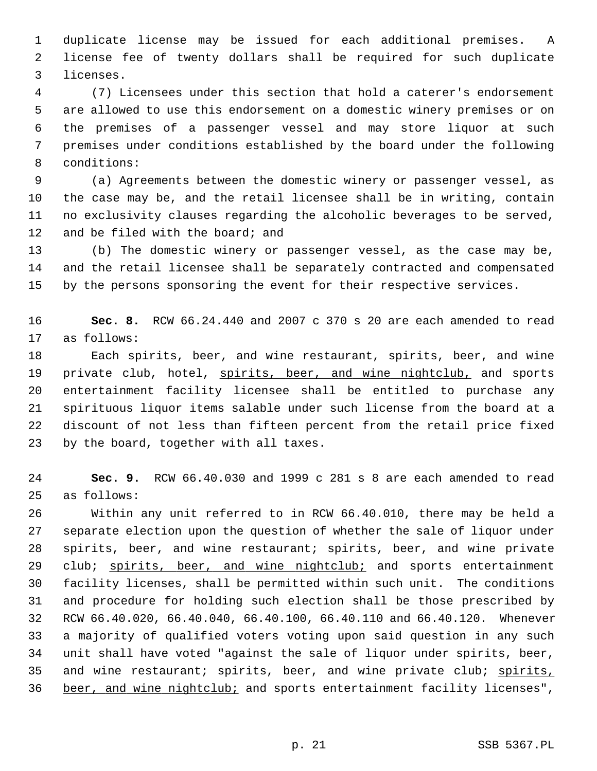1 duplicate license may be issued for each additional premises. A 2 license fee of twenty dollars shall be required for such duplicate 3 licenses.

 4 (7) Licensees under this section that hold a caterer's endorsement 5 are allowed to use this endorsement on a domestic winery premises or on 6 the premises of a passenger vessel and may store liquor at such 7 premises under conditions established by the board under the following 8 conditions:

 9 (a) Agreements between the domestic winery or passenger vessel, as 10 the case may be, and the retail licensee shall be in writing, contain 11 no exclusivity clauses regarding the alcoholic beverages to be served, 12 and be filed with the board; and

13 (b) The domestic winery or passenger vessel, as the case may be, 14 and the retail licensee shall be separately contracted and compensated 15 by the persons sponsoring the event for their respective services.

16 **Sec. 8.** RCW 66.24.440 and 2007 c 370 s 20 are each amended to read 17 as follows:

18 Each spirits, beer, and wine restaurant, spirits, beer, and wine 19 private club, hotel, spirits, beer, and wine nightclub, and sports 20 entertainment facility licensee shall be entitled to purchase any 21 spirituous liquor items salable under such license from the board at a 22 discount of not less than fifteen percent from the retail price fixed 23 by the board, together with all taxes.

24 **Sec. 9.** RCW 66.40.030 and 1999 c 281 s 8 are each amended to read 25 as follows:

26 Within any unit referred to in RCW 66.40.010, there may be held a 27 separate election upon the question of whether the sale of liquor under 28 spirits, beer, and wine restaurant; spirits, beer, and wine private 29 club; spirits, beer, and wine nightclub; and sports entertainment 30 facility licenses, shall be permitted within such unit. The conditions 31 and procedure for holding such election shall be those prescribed by 32 RCW 66.40.020, 66.40.040, 66.40.100, 66.40.110 and 66.40.120. Whenever 33 a majority of qualified voters voting upon said question in any such 34 unit shall have voted "against the sale of liquor under spirits, beer, 35 and wine restaurant; spirits, beer, and wine private club; spirits, 36 beer, and wine nightclub; and sports entertainment facility licenses",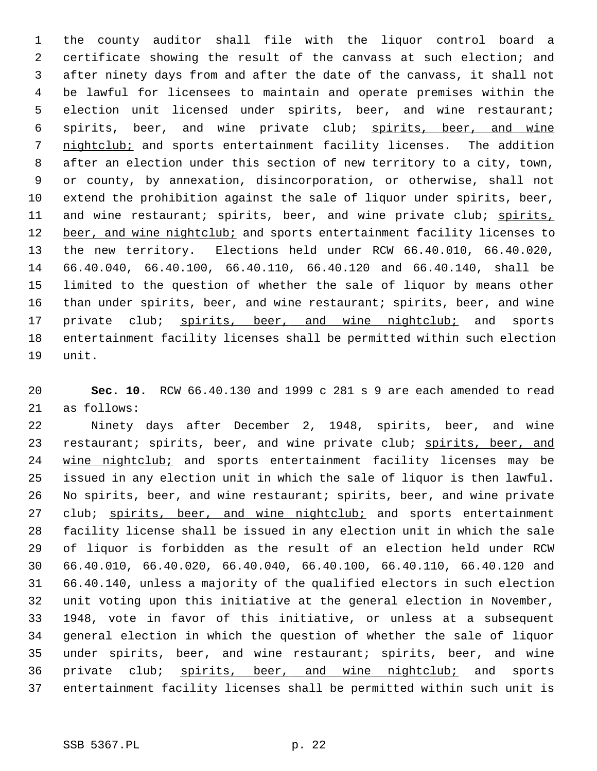1 the county auditor shall file with the liquor control board a 2 certificate showing the result of the canvass at such election; and 3 after ninety days from and after the date of the canvass, it shall not 4 be lawful for licensees to maintain and operate premises within the 5 election unit licensed under spirits, beer, and wine restaurant; 6 spirits, beer, and wine private club; spirits, beer, and wine 7 nightclub; and sports entertainment facility licenses. The addition 8 after an election under this section of new territory to a city, town, 9 or county, by annexation, disincorporation, or otherwise, shall not 10 extend the prohibition against the sale of liquor under spirits, beer, 11 and wine restaurant; spirits, beer, and wine private club; spirits, 12 beer, and wine nightclub; and sports entertainment facility licenses to 13 the new territory. Elections held under RCW 66.40.010, 66.40.020, 14 66.40.040, 66.40.100, 66.40.110, 66.40.120 and 66.40.140, shall be 15 limited to the question of whether the sale of liquor by means other 16 than under spirits, beer, and wine restaurant; spirits, beer, and wine 17 private club; spirits, beer, and wine nightclub; and sports 18 entertainment facility licenses shall be permitted within such election 19 unit.

20 **Sec. 10.** RCW 66.40.130 and 1999 c 281 s 9 are each amended to read 21 as follows:

22 Ninety days after December 2, 1948, spirits, beer, and wine 23 restaurant; spirits, beer, and wine private club; spirits, beer, and 24 wine nightclub; and sports entertainment facility licenses may be 25 issued in any election unit in which the sale of liquor is then lawful. 26 No spirits, beer, and wine restaurant; spirits, beer, and wine private 27 club; spirits, beer, and wine nightclub; and sports entertainment 28 facility license shall be issued in any election unit in which the sale 29 of liquor is forbidden as the result of an election held under RCW 30 66.40.010, 66.40.020, 66.40.040, 66.40.100, 66.40.110, 66.40.120 and 31 66.40.140, unless a majority of the qualified electors in such election 32 unit voting upon this initiative at the general election in November, 33 1948, vote in favor of this initiative, or unless at a subsequent 34 general election in which the question of whether the sale of liquor 35 under spirits, beer, and wine restaurant; spirits, beer, and wine 36 private club; spirits, beer, and wine nightclub; and sports 37 entertainment facility licenses shall be permitted within such unit is